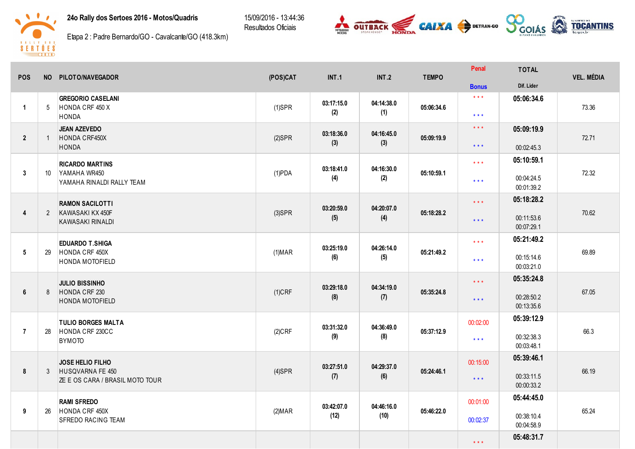24o Rally dos Sertoes 2016 - Motos/Quadris

15/09/2016 - 13:44:36 Resultados Oficiais





Etapa 2: Padre Bernardo/GO - Cavalcante/GO (418.3km)

| <b>POS</b>              |                | NO PILOTO/NAVEGADOR                         | (POS)CAT       | <b>INT.1</b>      | <b>INT.2</b>       | <b>TEMPO</b> | Penal                   | <b>TOTAL</b>             | <b>VEL. MÉDIA</b> |  |
|-------------------------|----------------|---------------------------------------------|----------------|-------------------|--------------------|--------------|-------------------------|--------------------------|-------------------|--|
|                         |                |                                             |                |                   |                    |              | <b>Bonus</b>            | Dif. Lider               |                   |  |
|                         |                | <b>GREGORIO CASELANI</b>                    |                | 03:17:15.0        | 04:14:38.0         |              | $\star$ $\star$ $\star$ | 05:06:34.6               |                   |  |
| $\mathbf{1}$            | 5              | HONDA CRF 450 X<br>HONDA                    | $(1)$ SPR      | (2)               | (1)                | 05:06:34.6   | $***$                   |                          | 73.36             |  |
|                         |                | JEAN AZEVEDO                                |                |                   |                    |              | $\star$ $\star$ $\star$ | 05:09:19.9               |                   |  |
| $\overline{2}$          | $\overline{1}$ | HONDA CRF450X                               | $(2)$ SPR      | 03:18:36.0        | 04:16:45.0         | 05:09:19.9   |                         |                          | 72.71             |  |
|                         |                | <b>HONDA</b>                                |                | (3)               | (3)                |              | $\star$ $\star$ $\star$ | 00:02:45.3               |                   |  |
|                         |                | <b>RICARDO MARTINS</b>                      |                |                   |                    |              | $\star\star\star$       | 05:10:59.1               |                   |  |
| 3                       | 10             | YAMAHA WR450                                | $(1)$ PDA      | 03:18:41.0<br>(4) | 04:16:30.0<br>(2)  | 05:10:59.1   |                         | 00:04:24.5               | 72.32             |  |
|                         |                | YAMAHA RINALDI RALLY TEAM                   |                |                   |                    |              | $***$                   | 00:01:39.2               |                   |  |
|                         |                | <b>RAMON SACILOTTI</b>                      |                |                   |                    |              | $\star\star\star$       | 05:18:28.2               |                   |  |
| $\overline{\mathbf{4}}$ | $\overline{2}$ | KAWASAKI KX 450F                            | $(3)$ SPR      | 03:20:59.0        | 04:20:07.0         | 05:18:28.2   |                         |                          | 70.62             |  |
|                         |                | KAWASAKI RINALDI                            |                | (5)               | (4)                |              | $\star$ $\star$ $\star$ | 00:11:53.6<br>00:07:29.1 |                   |  |
|                         |                |                                             |                |                   |                    |              | $\star\star\star$       | 05:21:49.2               |                   |  |
| $5\phantom{.0}$         | 29             | <b>EDUARDO T.SHIGA</b><br>HONDA CRF 450X    | $(1)$ MAR      | 03:25:19.0        | 04:26:14.0         | 05:21:49.2   |                         |                          | 69.89             |  |
|                         |                | <b>HONDA MOTOFIELD</b>                      |                | (6)               | (5)                |              | $***$                   | 00:15:14.6<br>00:03:21.0 |                   |  |
|                         |                |                                             |                |                   |                    |              |                         | 05:35:24.8               |                   |  |
|                         |                | <b>JULIO BISSINHO</b>                       |                | 03:29:18.0        | 04:34:19.0         |              | $\star$ $\star$ $\star$ |                          | 67.05             |  |
| $6\phantom{1}$          | 8              | HONDA CRF 230<br><b>HONDA MOTOFIELD</b>     | $(1)$ CRF      | (8)               | (7)                |              | 05:35:24.8              | $\star$ $\star$ $\star$  | 00:28:50.2        |  |
|                         |                |                                             |                |                   |                    |              |                         | 00:13:35.6               |                   |  |
|                         |                | <b>TULIO BORGES MALTA</b>                   |                | 03:31:32.0        | 04:36:49.0         |              | 00:02:00                | 05:39:12.9               |                   |  |
| $\overline{7}$          | 28             | HONDA CRF 230CC                             | $(2)$ CRF      | (9)               | (8)                | 05:37:12.9   | $\star\star\star$       | 00:32:38.3               | 66.3              |  |
|                         |                | <b>BYMOTO</b>                               |                |                   |                    |              |                         | 00:03:48.1               |                   |  |
|                         |                | <b>JOSE HELIO FILHO</b>                     |                |                   |                    |              | 00:15:00                | 05:39:46.1               |                   |  |
| 8                       | 3              | HUSQVARNA FE 450                            | $(4)$ SPR      | 03:27:51.0<br>(7) | 04:29:37.0<br>(6)  | 05:24:46.1   |                         | 00:33:11.5               | 66.19             |  |
|                         |                | <b>ZE E OS CARA / BRASIL MOTO TOUR</b>      |                |                   |                    |              | $\star$ $\star$ $\star$ | 00:00:33.2               |                   |  |
|                         |                | <b>RAMI SFREDO</b>                          |                |                   |                    |              | 00:01:00                | 05:44:45.0               |                   |  |
| 9                       | 26             | HONDA CRF 450X<br><b>SFREDO RACING TEAM</b> | (2) <b>MAR</b> | 03:42:07.0        | 04:46:16.0<br>(10) | 05:46:22.0   |                         |                          | 65.24             |  |
|                         |                |                                             |                | (12)              |                    |              | 00:02:37                | 00:38:10.4<br>00:04:58.9 |                   |  |
|                         |                |                                             |                |                   |                    |              |                         | 05:48:31.7               |                   |  |
|                         |                |                                             |                |                   |                    |              | $\star\star\star$       |                          |                   |  |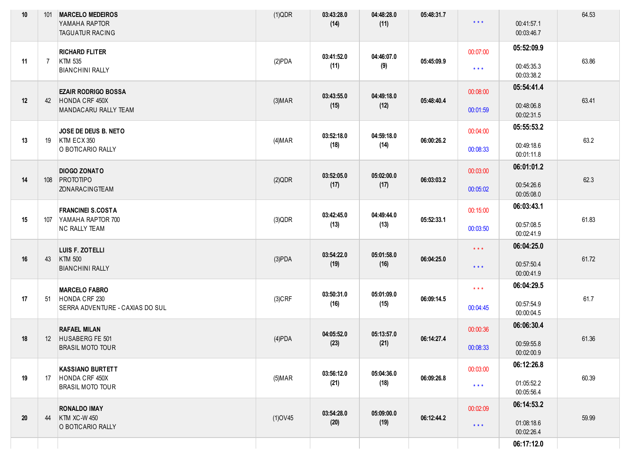| 10 | 101            | <b>MARCELO MEDEIROS</b><br>YAMAHA RAPTOR<br><b>TAGUATUR RACING</b>       | (1)QDR         | 03:43:28.0<br>(14) | 04:48:28.0<br>(11) | 05:48:31.7 | $\star$ $\star$ $\star$             | 00:41:57.1<br>00:03:46.7               | 64.53 |
|----|----------------|--------------------------------------------------------------------------|----------------|--------------------|--------------------|------------|-------------------------------------|----------------------------------------|-------|
| 11 | $\overline{7}$ | <b>RICHARD FLITER</b><br>KTM 535<br><b>BIANCHINI RALLY</b>               | (2)PDA         | 03:41:52.0<br>(11) | 04:46:07.0<br>(9)  | 05:45:09.9 | 00:07:00<br>$\star\star\star$       | 05:52:09.9<br>00:45:35.3<br>00:03:38.2 | 63.86 |
| 12 | 42             | <b>EZAIR RODRIGO BOSSA</b><br>HONDA CRF 450X<br>MANDACARU RALLY TEAM     | (3) <b>MAP</b> | 03:43:55.0<br>(15) | 04:49:18.0<br>(12) | 05:48:40.4 | 00:08:00<br>00:01:59                | 05:54:41.4<br>00:48:06.8<br>00:02:31.5 | 63.41 |
| 13 | 19             | JOSE DE DEUS B. NETO<br>KTM ECX 350<br>O BOTICARIO RALLY                 | (4) <b>MAR</b> | 03:52:18.0<br>(18) | 04:59:18.0<br>(14) | 06:00:26.2 | 00:04:00<br>00:08:33                | 05:55:53.2<br>00:49:18.6<br>00:01:11.8 | 63.2  |
| 14 | 108            | <b>DIOGO ZONATO</b><br>PROTOTIPO<br><b>ZONARACINGTEAM</b>                | (2)QDR         | 03:52:05.0<br>(17) | 05:02:00.0<br>(17) | 06:03:03.2 | 00:03:00<br>00:05:02                | 06:01:01.2<br>00:54:26.6<br>00:05:08.0 | 62.3  |
| 15 | 107            | <b>FRANCINEI S.COSTA</b><br>YAMAHA RAPTOR 700<br><b>NC RALLY TEAM</b>    | $(3)$ QDR      | 03:42:45.0<br>(13) | 04:49:44.0<br>(13) | 05:52:33.1 | 00:15:00<br>00:03:50                | 06:03:43.1<br>00:57:08.5<br>00:02:41.9 | 61.83 |
| 16 | 43             | LUIS F. ZOTELLI<br><b>KTM 500</b><br><b>BIANCHINI RALLY</b>              | $(3)$ PDA      | 03:54:22.0<br>(19) | 05:01:58.0<br>(16) | 06:04:25.0 | $\star$ $\star$ $\star$<br>$***$    | 06:04:25.0<br>00:57:50.4<br>00:00:41.9 | 61.72 |
| 17 | 51             | <b>MARCELO FABRO</b><br>HONDA CRF 230<br>SERRA ADVENTURE - CAXIAS DO SUL | $(3)$ CRF      | 03:50:31.0<br>(16) | 05:01:09.0<br>(15) | 06:09:14.5 | $\star$ $\star$ $\star$<br>00:04:45 | 06:04:29.5<br>00:57:54.9<br>00:00:04.5 | 61.7  |
| 18 | 12             | <b>RAFAEL MILAN</b><br>HUSABERG FE 501<br><b>BRASIL MOTO TOUR</b>        | $(4)$ PDA      | 04:05:52.0<br>(23) | 05:13:57.0<br>(21) | 06:14:27.4 | 00:00:36<br>00:08:33                | 06:06:30.4<br>00:59:55.8<br>00:02:00.9 | 61.36 |
| 19 | 17             | <b>KASSIANO BURTETT</b><br>HONDA CRF 450X<br><b>BRASIL MOTO TOUR</b>     | $(5)$ MAR      | 03:56:12.0<br>(21) | 05:04:36.0<br>(18) | 06:09:26.8 | 00:03:00<br>$\star$ $\star$ $\star$ | 06:12:26.8<br>01:05:52.2<br>00:05:56.4 | 60.39 |
| 20 | 44             | <b>RONALDO IMAY</b><br><b>KTM XC-W 450</b><br>O BOTICARIO RALLY          | $(1)$ OV45     | 03:54:28.0<br>(20) | 05:09:00.0<br>(19) | 06:12:44.2 | 00:02:09<br>$\star$ $\star$ $\star$ | 06:14:53.2<br>01:08:18.6<br>00:02:26.4 | 59.99 |
|    |                |                                                                          |                |                    |                    |            |                                     | 06:17:12.0                             |       |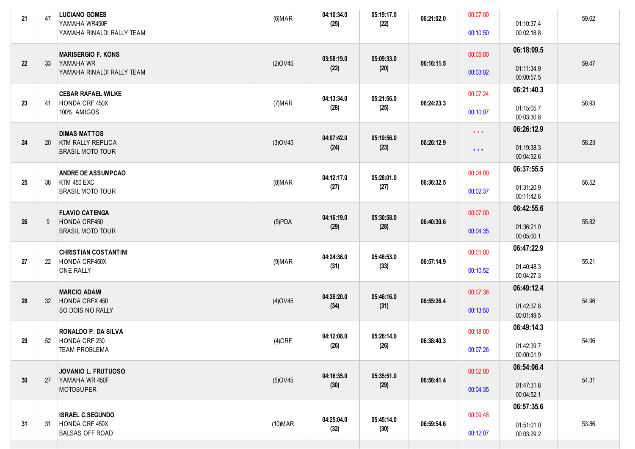| 21     | 47  | <b>LUCIANO GOMES</b><br>YAMAHA WR450F<br>YAMAHA RINALDI RALLY TEAM         | (6) <b>MAR</b> | 04:10:34.0<br>(25) | 05:19:17.0<br>(22) | 06:21:02.0 | 00:07:00<br>00:10:50                               | 01:10:37.4<br>00:02:18.8               | 59.62 |
|--------|-----|----------------------------------------------------------------------------|----------------|--------------------|--------------------|------------|----------------------------------------------------|----------------------------------------|-------|
| 22     | -33 | <b>MARISERGIO F. KONS</b><br>YAMAHA WR<br>YAMAHA RINALDI RALLY TEAM        | $(2)$ OV45     | 03:58:19.0<br>(22) | 05:09:33.0<br>(20) | 06:16:11.5 | 00:05:00<br>00:03:02                               | 06:18:09.5<br>01:11:34.9<br>00:00:57.5 | 59.47 |
| 23     | 41  | <b>CESAR RAFAEL WILKE</b><br>HONDA CRF 450X<br>100% AMIGOS                 | (7) <b>MAR</b> | 04:13:34.0<br>(28) | 05:21:56.0<br>(25) | 06:24:23.3 | 00:07:24<br>00:10:07                               | 06:21:40.3<br>01:15:05.7<br>00:03:30.8 | 58.93 |
| 24     | -20 | <b>DIMAS MATTOS</b><br><b>KTM RALLY REPLICA</b><br><b>BRASIL MOTO TOUR</b> | $(3)$ OV45     | 04:07:42.0<br>(24) | 05:19:56.0<br>(23) | 06:26:12.9 | $\star$ $\star$ $\star$<br>$\star$ $\star$ $\star$ | 06:26:12.9<br>01:19:38.3<br>00:04:32.6 | 58.23 |
| 25     | -38 | <b>ANDRE DE ASSUMPCAO</b><br><b>KTM 450 EXC</b><br><b>BRASIL MOTO TOUR</b> | $(8)$ MAR      | 04:12:17.0<br>(27) | 05:28:01.0<br>(27) | 06:36:32.5 | 00:04:00<br>00:02:37                               | 06:37:55.5<br>01:31:20.9<br>00:11:42.6 | 56.52 |
| 26     | 9   | <b>FLAVIO CATENGA</b><br>HONDA CRF450<br><b>BRASIL MOTO TOUR</b>           | $(5)$ PDA      | 04:16:19.0<br>(29) | 05:30:58.0<br>(28) | 06:40:30.6 | 00:07:00<br>00:04:35                               | 06:42:55.6<br>01:36:21.0<br>00:05:00.1 | 55.82 |
| 27     | 22  | <b>CHRISTIAN COSTANTINI</b><br>HONDA CRF450X<br><b>ONE RALLY</b>           | $(9)$ MAR      | 04:24:36.0<br>(31) | 05:48:53.0<br>(33) | 06:57:14.9 | 00:01:00<br>00:10:52                               | 06:47:22.9<br>01:40:48.3<br>00:04:27.3 | 55.21 |
| $28\,$ | -32 | <b>MARCIO ADAMI</b><br>HONDA CRFX 450<br>SO DOIS NO RALLY                  | $(4)$ OV45     | 04:26:20.0<br>(34) | 05:46:16.0<br>(31) | 06:55:26.4 | 00:07:36<br>00:13:50                               | 06:49:12.4<br>01:42:37.8<br>00:01:49.5 | 54.96 |
| 29     | 52  | <b>RONALDO P. DA SILVA</b><br>HONDA CRF 230<br><b>TEAM PROBLEMA</b>        | $(4)$ CRF      | 04:12:08.0<br>(26) | 05:26:14.0<br>(26) | 06:38:40.3 | 00:18:00<br>00:07:26                               | 06:49:14.3<br>01:42:39.7<br>00:00:01.9 | 54.96 |
| 30     | 27  | <b>JOVANIO L. FRUTUOSO</b><br>YAMAHA WR 450F<br><b>MOTOSUPER</b>           | (5) OV45       | 04:16:35.0<br>(30) | 05:35:51.0<br>(29) | 06:56:41.4 | 00:02:00<br>00:04:35                               | 06:54:06.4<br>01:47:31.8<br>00:04:52.1 | 54.31 |
| 31     | -31 | <b>ISRAEL C.SEGUNDO</b><br>HONDA CRF 450X<br><b>BALSAS OFF ROAD</b>        | $(10)$ MAR     | 04:25:04.0<br>(32) | 05:45:14.0<br>(30) | 06:59:54.6 | 00:09:48<br>00:12:07                               | 06:57:35.6<br>01:51:01.0<br>00:03:29.2 | 53.86 |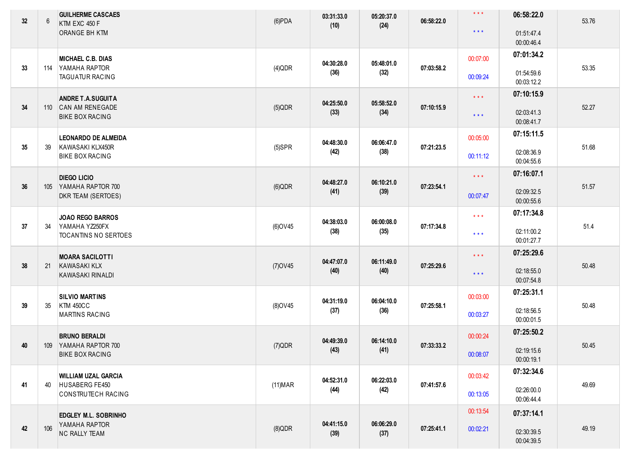| 32 | 6   | <b>GUILHERME CASCAES</b><br>KTM EXC 450 F<br>ORANGE BH KTM               | $(6)$ PDA       | 03:31:33.0<br>(10) | 05:20:37.0<br>(24) | 06:58:22.0 | $\star$ $\star$ $\star$<br>$\star$ $\star$ $\star$ | 06:58:22.0<br>01:51:47.4<br>00:00:46.4 | 53.76 |
|----|-----|--------------------------------------------------------------------------|-----------------|--------------------|--------------------|------------|----------------------------------------------------|----------------------------------------|-------|
| 33 | 114 | <b>MICHAEL C.B. DIAS</b><br>YAMAHA RAPTOR<br><b>TAGUATUR RACING</b>      | $(4)$ QDR       | 04:30:28.0<br>(36) | 05:48:01.0<br>(32) | 07:03:58.2 | 00:07:00<br>00:09:24                               | 07:01:34.2<br>01:54:59.6<br>00:03:12.2 | 53.35 |
| 34 | 110 | <b>ANDRE T.A.SUGUITA</b><br>CAN AM RENEGADE<br><b>BIKE BOX RACING</b>    | $(5)$ QDR       | 04:25:50.0<br>(33) | 05:58:52.0<br>(34) | 07:10:15.9 | $\star$ $\star$ $\star$<br>$\star$ $\star$ $\star$ | 07:10:15.9<br>02:03:41.3<br>00:08:41.7 | 52.27 |
| 35 | 39  | <b>LEONARDO DE ALMEIDA</b><br>KAWASAKI KLX450R<br><b>BIKE BOX RACING</b> | $(5)$ SPR       | 04:48:30.0<br>(42) | 06:06:47.0<br>(38) | 07:21:23.5 | 00:05:00<br>00:11:12                               | 07:15:11.5<br>02:08:36.9<br>00:04:55.6 | 51.68 |
| 36 | 105 | <b>DIEGO LICIO</b><br>YAMAHA RAPTOR 700<br>DKR TEAM (SERTOES)            | $(6)$ QDR       | 04:48:27.0<br>(41) | 06:10:21.0<br>(39) | 07:23:54.1 | $\star\star\star$<br>00:07:47                      | 07:16:07.1<br>02:09:32.5<br>00:00:55.6 | 51.57 |
| 37 | 34  | <b>JOAO REGO BARROS</b><br>YAMAHA YZ250FX<br>TOCANTINS NO SERTOES        | (6) OV45        | 04:38:03.0<br>(38) | 06:00:08.0<br>(35) | 07:17:34.8 | $\star$ $\star$ $\star$<br>$\star$ $\star$ $\star$ | 07:17:34.8<br>02:11:00.2<br>00:01:27.7 | 51.4  |
| 38 | 21  | <b>MOARA SACILOTTI</b><br><b>KAWASAKI KLX</b><br>KAWASAKI RINALDI        | $(7)$ OV45      | 04:47:07.0<br>(40) | 06:11:49.0<br>(40) | 07:25:29.6 | $\star\star\star$<br>$\star$ $\star$ $\star$       | 07:25:29.6<br>02:18:55.0<br>00:07:54.8 | 50.48 |
| 39 | 35  | <b>SILVIO MARTINS</b><br><b>KTM 450CC</b><br><b>MARTINS RACING</b>       | $(8)$ OV45      | 04:31:19.0<br>(37) | 06:04:10.0<br>(36) | 07:25:58.1 | 00:03:00<br>00:03:27                               | 07:25:31.1<br>02:18:56.5<br>00:00:01.5 | 50.48 |
| 40 |     | <b>BRUNO BERALDI</b><br>109 YAMAHA RAPTOR 700<br><b>BIKE BOX RACING</b>  | $(7)$ QDR       | 04:49:39.0<br>(43) | 06:14:10.0<br>(41) | 07:33:33.2 | 00:00:24<br>00:08:07                               | 07:25:50.2<br>02:19:15.6<br>00:00:19.1 | 50.45 |
| 41 | 40  | <b>WILLIAM UZAL GARCIA</b><br>HUSABERG FE450<br>CONSTRUTECH RACING       | (11) <b>MAR</b> | 04:52:31.0<br>(44) | 06:22:03.0<br>(42) | 07:41:57.6 | 00:03:42<br>00:13:05                               | 07:32:34.6<br>02:26:00.0<br>00:06:44.4 | 49.69 |
| 42 | 106 | EDGLEY M.L. SOBRINHO<br>YAMAHA RAPTOR<br><b>NC RALLY TEAM</b>            | $(8)$ QDR       | 04:41:15.0<br>(39) | 06:06:29.0<br>(37) | 07:25:41.1 | 00:13:54<br>00:02:21                               | 07:37:14.1<br>02:30:39.5<br>00:04:39.5 | 49.19 |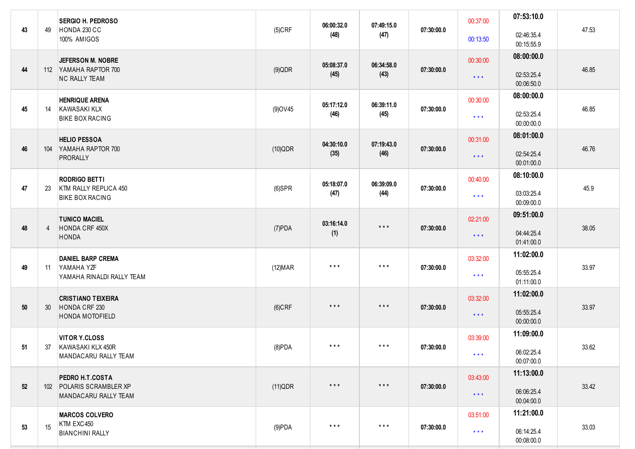| 43 | 49             | <b>SERGIO H. PEDROSO</b><br>HONDA 230 CC<br>100% AMIGOS                 | $(5)$ CRF       | 06:00:32.0<br>(48)      | 07:49:15.0<br>(47)      | 07:30:00.0 | 00:37:00<br>00:13:50                | 07:53:10.0<br>02:46:35.4<br>00:15:55.9 | 47.53 |
|----|----------------|-------------------------------------------------------------------------|-----------------|-------------------------|-------------------------|------------|-------------------------------------|----------------------------------------|-------|
| 44 |                | JEFERSON M. NOBRE<br>112 YAMAHA RAPTOR 700<br><b>NC RALLY TEAM</b>      | $(9)$ QDR       | 05:08:37.0<br>(45)      | 06:34:58.0<br>(43)      | 07:30:00.0 | 00:30:00<br>$***$                   | 08:00:00.0<br>02:53:25.4<br>00:06:50.0 | 46.85 |
| 45 | 14             | <b>HENRIQUE ARENA</b><br><b>KAWASAKI KLX</b><br><b>BIKE BOX RACING</b>  | $(9)$ OV45      | 05:17:12.0<br>(46)      | 06:39:11.0<br>(45)      | 07:30:00.0 | 00:30:00<br>$\star$ $\star$ $\star$ | 08:00:00.0<br>02:53:25.4<br>00:00:00.0 | 46.85 |
| 46 | 104            | <b>HELIO PESSOA</b><br>YAMAHA RAPTOR 700<br><b>PRORALLY</b>             | $(10)$ QDR      | 04:30:10.0<br>(35)      | 07:19:43.0<br>(46)      | 07:30:00.0 | 00:31:00<br>$\star\star\star$       | 08:01:00.0<br>02:54:25.4<br>00:01:00.0 | 46.76 |
| 47 | 23             | <b>RODRIGO BETTI</b><br>KTM RALLY REPLICA 450<br><b>BIKE BOX RACING</b> | $(6)$ SPR       | 05:18:07.0<br>(47)      | 06:39:09.0<br>(44)      | 07:30:00.0 | 00:40:00<br>$\star$ $\star$ $\star$ | 08:10:00.0<br>03:03:25.4<br>00:09:00.0 | 45.9  |
| 48 | $\overline{4}$ | <b>TUNICO MACIEL</b><br>HONDA CRF 450X<br><b>HONDA</b>                  | $(7)$ PDA       | 03:16:14.0<br>(1)       | $***$                   | 07:30:00.0 | 02:21:00<br>$***$                   | 09:51:00.0<br>04:44:25.4<br>01:41:00.0 | 38.05 |
| 49 | -11            | <b>DANIEL BARP CREMA</b><br>YAMAHA YZF<br>YAMAHA RINALDI RALLY TEAM     | (12) <b>MAR</b> | $\star$ $\star$ $\star$ | $\star$ $\star$ $\star$ | 07:30:00.0 | 03:32:00<br>$\star$ $\star$ $\star$ | 11:02:00.0<br>05:55:25.4<br>01:11:00.0 | 33.97 |
| 50 | 30             | <b>CRISTIANO TEIXEIRA</b><br>HONDA CRF 230<br><b>HONDA MOTOFIELD</b>    | $(6)$ CRF       | $***$                   | $***$                   | 07:30:00.0 | 03:32:00<br>$***$                   | 11:02:00.0<br>05:55:25.4<br>00:00:00.0 | 33.97 |
| 51 |                | <b>VITOR Y.CLOSS</b><br>37 KAWASAKI KLX 450R<br>MANDACARU RALLY TEAM    | (8)PDA          | $***$                   | $\star$ $\star$ $\star$ | 07:30:00.0 | 03:39:00<br>$\star\star\star$       | 11:09:00.0<br>06:02:25.4<br>00:07:00.0 | 33.62 |
| 52 |                | PEDRO H.T.COSTA<br>102 POLARIS SCRAMBLER XP<br>MANDACARU RALLY TEAM     | (11)QDR         | $\star$ $\star$ $\star$ | $\star$ $\star$ $\star$ | 07:30:00.0 | 03:43:00<br>$\star\star\star$       | 11:13:00.0<br>06:06:25.4<br>00:04:00.0 | 33.42 |
| 53 | 15             | <b>MARCOS COLVERO</b><br>KTM EXC450<br><b>BIANCHINI RALLY</b>           | $(9)$ PDA       | $\star$ $\star$ $\star$ | $\star$ $\star$ $\star$ | 07:30:00.0 | 03:51:00<br>$\star\star\star$       | 11:21:00.0<br>06:14:25.4<br>00:08:00.0 | 33.03 |